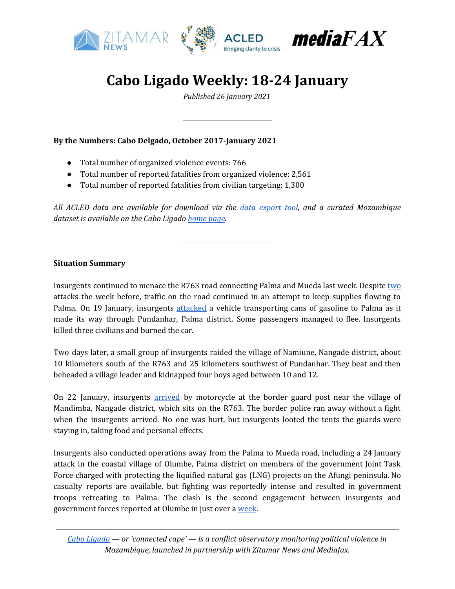

# **Cabo Ligado Weekly: 18-24 January**

*Published 26 January 2021*

### **By the Numbers: Cabo Delgado, October 2017-January 2021**

- Total number of organized violence events: 766
- Total number of reported fatalities from organized violence: 2,561
- Total number of reported fatalities from civilian targeting: 1,300

*All ACLED data are available for download via the data [export](https://acleddata.com/data-export-tool/) tool, and a curated Mozambique dataset is available on the Cabo Ligado [home](https://acleddata.com/cabo-ligado-mozambique-conflict-observatory/) page.*

#### **Situation Summary**

Insurgents continued to menace the R763 road connecting Palma and Mueda last week. Despite [two](https://reliefweb.int/report/mozambique/cabo-ligado-weekly-11-17-january-2021) attacks the week before, traffic on the road continued in an attempt to keep supplies flowing to Palma. On 19 January, insurgents [attacked](https://www.jornaleconomico.sapo.pt/en/noticias/mocambique-tres-mortos-em-nova-investida-contra-automovel-691451) a vehicle transporting cans of gasoline to Palma as it made its way through Pundanhar, Palma district. Some passengers managed to flee. Insurgents killed three civilians and burned the car.

Two days later, a small group of insurgents raided the village of Namiune, Nangade district, about 10 kilometers south of the R763 and 25 kilometers southwest of Pundanhar. They beat and then beheaded a village leader and kidnapped four boys aged between 10 and 12.

On 22 January, insurgents [arrived](https://cartamz.com/index.php/politica/item/7086-terroristas-atacaram-policias-de-guarda-fronteira-em-nangade) by motorcycle at the border guard post near the village of Mandimba, Nangade district, which sits on the R763. The border police ran away without a fight when the insurgents arrived. No one was hurt, but insurgents looted the tents the guards were staying in, taking food and personal effects.

Insurgents also conducted operations away from the Palma to Mueda road, including a 24 January attack in the coastal village of Olumbe, Palma district on members of the government Joint Task Force charged with protecting the liquified natural gas (LNG) projects on the Afungi peninsula. No casualty reports are available, but fighting was reportedly intense and resulted in government troops retreating to Palma. The clash is the second engagement between insurgents and government forces reported at Olumbe in just over a [week](https://reliefweb.int/report/mozambique/cabo-ligado-weekly-11-17-january-2021).

*Cabo [Ligado](https://acleddata.com/cabo-ligado-mozambique-conflict-observatory/) — or 'connected cape' — is a conflict observatory monitoring political violence in Mozambique, launched in partnership with Zitamar News and Mediafax.*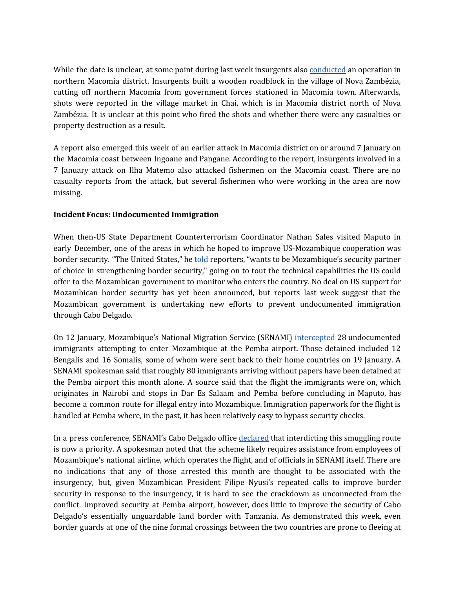While the date is unclear, at some point during last week insurgents also [conducted](https://pinnaclenews.net/rescaldo-semanal-23-01-2021/) an operation in northern Macomia district. Insurgents built a wooden roadblock in the village of Nova Zambézia, cutting off northern Macomia from government forces stationed in Macomia town. Afterwards, shots were reported in the village market in Chai, which is in Macomia district north of Nova Zambézia. It is unclear at this point who fired the shots and whether there were any casualties or property destruction as a result.

A report also emerged this week of an earlier attack in Macomia district on or around 7 January on the Macomia coast between Ingoane and Pangane. According to the report, insurgents involved in a 7 January attack on Ilha Matemo also attacked fishermen on the Macomia coast. There are no casualty reports from the attack, but several fishermen who were working in the area are now missing.

## **Incident Focus: Undocumented Immigration**

When then-US State Department Counterterrorism Coordinator Nathan Sales visited Maputo in early December, one of the areas in which he hoped to improve US-Mozambique cooperation was border security. "The United States," he **[told](https://webcache.googleusercontent.com/search?q=cache:Y1k6cLOayPwJ:https://translations.state.gov/2020/12/08/telephonic-press-briefing-with-ambassador-at-large-nathan-sales-u-s-coordinator-for-counterterrorism/+&cd=1&hl=en&ct=clnk&gl=us&lr=lang_en%7Clang_pt)** reporters, "wants to be Mozambique's security partner of choice in strengthening border security," going on to tout the technical capabilities the US could offer to the Mozambican government to monitor who enters the country. No deal on US support for Mozambican border security has yet been announced, but reports last week suggest that the Mozambican government is undertaking new efforts to prevent undocumented immigration through Cabo Delgado.

On 12 January, Mozambique's National Migration Service (SENAMI) [intercepted](https://opais.co.mz/noticia/detidos-imigrantes-ilegais-no-aeroporto-de-pemba) 28 undocumented immigrants attempting to enter Mozambique at the Pemba airport. Those detained included 12 Bengalis and 16 Somalis, some of whom were sent back to their home countries on 19 January. A SENAMI spokesman said that roughly 80 immigrants arriving without papers have been detained at the Pemba airport this month alone. A source said that the flight the immigrants were on, which originates in Nairobi and stops in Dar Es Salaam and Pemba before concluding in Maputo, has become a common route for illegal entry into Mozambique. Immigration paperwork for the flight is handled at Pemba where, in the past, it has been relatively easy to bypass security checks.

In a press conference, SENAMI's Cabo Delgado office [declared](https://opais.co.mz/noticia/mocambique-com-dificuldades-de-desmantelar-rede-internacional-de-imigracao-ilegal) that interdicting this smuggling route is now a priority. A spokesman noted that the scheme likely requires assistance from employees of Mozambique's national airline, which operates the flight, and of officials in SENAMI itself. There are no indications that any of those arrested this month are thought to be associated with the insurgency, but, given Mozambican President Filipe Nyusi's repeated calls to improve border security in response to the insurgency, it is hard to see the crackdown as unconnected from the conflict. Improved security at Pemba airport, however, does little to improve the security of Cabo Delgado's essentially unguardable land border with Tanzania. As demonstrated this week, even border guards at one of the nine formal crossings between the two countries are prone to fleeing at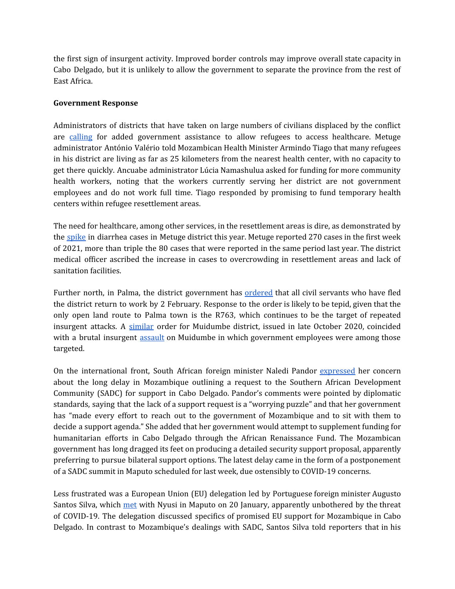the first sign of insurgent activity. Improved border controls may improve overall state capacity in Cabo Delgado, but it is unlikely to allow the government to separate the province from the rest of East Africa.

#### **Government Response**

Administrators of districts that have taken on large numbers of civilians displaced by the conflict are [calling](https://www.dw.com/pt-002/governo-promete-alpendres-de-sa%C3%BAde-para-deslocados-de-cabo-delgado/a-56278255) for added government assistance to allow refugees to access healthcare. Metuge administrator António Valério told Mozambican Health Minister Armindo Tiago that many refugees in his district are living as far as 25 kilometers from the nearest health center, with no capacity to get there quickly. Ancuabe administrator Lúcia Namashulua asked for funding for more community health workers, noting that the workers currently serving her district are not government employees and do not work full time. Tiago responded by promising to fund temporary health centers within refugee resettlement areas.

The need for healthcare, among other services, in the resettlement areas is dire, as demonstrated by the [spike](https://www.rm.co.mz/rm.co.mz/index.php/component/k2/item/14477-c-delgado-metuge-intensifica-accoes-de-prevencao-para-reduzir-surto-de-colera.html) in diarrhea cases in Metuge district this year. Metuge reported 270 cases in the first week of 2021, more than triple the 80 cases that were reported in the same period last year. The district medical officer ascribed the increase in cases to overcrowding in resettlement areas and lack of sanitation facilities.

Further north, in Palma, the district government has **[ordered](https://twitter.com/AllexandreMZ/status/1352587800743456770)** that all civil servants who have fled the district return to work by 2 February. Response to the order is likely to be tepid, given that the only open land route to Palma town is the R763, which continues to be the target of repeated insurgent attacks. A [similar](https://cartamz.com/index.php/sociedade/item/6443-administrador-de-muidumbe-exige-apresentacao-de-funcionarios-ate-01-de-novembro) order for Muidumbe district, issued in late October 2020, coincided with a brutal insurgent **[assault](https://acleddata.com/2020/11/10/cabo-ligado-weekly-2-8-november-2020/)** on Muidumbe in which government employees were among those targeted.

On the international front, South African foreign minister Naledi Pandor [expressed](https://webcache.googleusercontent.com/search?q=cache:o-G-07Gr7igJ:https://www.bloomberg.com/news/articles/2021-01-21/south-africa-perplexed-over-inertia-in-mozambique-crisis+&cd=1&hl=en&ct=clnk&gl=uk) her concern about the long delay in Mozambique outlining a request to the Southern African Development Community (SADC) for support in Cabo Delgado. Pandor's comments were pointed by diplomatic standards, saying that the lack of a support request is a "worrying puzzle" and that her government has "made every effort to reach out to the government of Mozambique and to sit with them to decide a support agenda." She added that her government would attempt to supplement funding for humanitarian efforts in Cabo Delgado through the African Renaissance Fund. The Mozambican government has long dragged its feet on producing a detailed security support proposal, apparently preferring to pursue bilateral support options. The latest delay came in the form of a postponement of a SADC summit in Maputo scheduled for last week, due ostensibly to COVID-19 concerns.

Less frustrated was a European Union (EU) delegation led by Portuguese foreign minister Augusto Santos Silva, which [met](https://www.rtp.pt/noticias/mundo/pr-toma-boa-nota-da-disponibilidade-de-apoio-da-ue_n1291023) with Nyusi in Maputo on 20 January, apparently unbothered by the threat of COVID-19. The delegation discussed specifics of promised EU support for Mozambique in Cabo Delgado. In contrast to Mozambique's dealings with SADC, Santos Silva told reporters that in his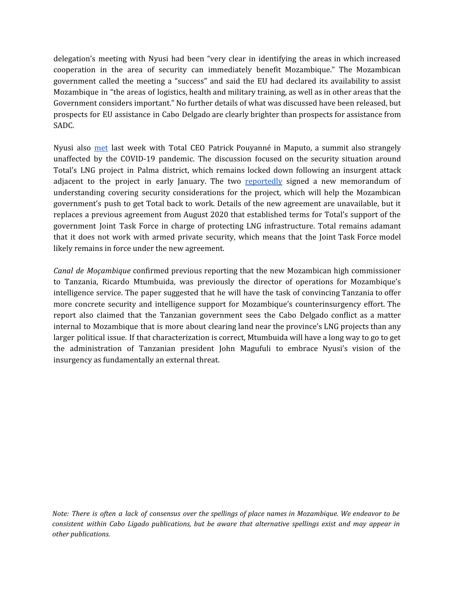delegation's meeting with Nyusi had been "very clear in identifying the areas in which increased cooperation in the area of security can immediately benefit Mozambique." The Mozambican government called the meeting a "success" and said the EU had declared its availability to assist Mozambique in "the areas of logistics, health and military training, as well as in other areas that the Government considers important." No further details of what was discussed have been released, but prospects for EU assistance in Cabo Delgado are clearly brighter than prospects for assistance from SADC.

Nyusi also [met](https://www.connaissancedesenergies.org/afp/mozambique-le-pdg-de-total-rencontre-le-president-pour-parler-de-securite-210118) last week with Total CEO Patrick Pouyanné in Maputo, a summit also strangely unaffected by the COVID-19 pandemic. The discussion focused on the security situation around Total's LNG project in Palma district, which remains locked down following an insurgent attack adjacent to the project in early January. The two [reportedly](https://www.dw.com/pt-002/cabo-delgado-governo-e-petrol%C3%ADfera-total-acordam-novo-refor%C3%A7o-de-seguran%C3%A7a/a-56271869) signed a new memorandum of understanding covering security considerations for the project, which will help the Mozambican government's push to get Total back to work. Details of the new agreement are unavailable, but it replaces a previous agreement from August 2020 that established terms for Total's support of the government Joint Task Force in charge of protecting LNG infrastructure. Total remains adamant that it does not work with armed private security, which means that the Joint Task Force model likely remains in force under the new agreement.

*Canal de Moçambique* confirmed previous reporting that the new Mozambican high commissioner to Tanzania, Ricardo Mtumbuida, was previously the director of operations for Mozambique's intelligence service. The paper suggested that he will have the task of convincing Tanzania to offer more concrete security and intelligence support for Mozambique's counterinsurgency effort. The report also claimed that the Tanzanian government sees the Cabo Delgado conflict as a matter internal to Mozambique that is more about clearing land near the province's LNG projects than any larger political issue. If that characterization is correct, Mtumbuida will have a long way to go to get the administration of Tanzanian president John Magufuli to embrace Nyusi's vision of the insurgency as fundamentally an external threat.

*Note: There is often a lack of consensus over the spellings of place names in Mozambique. We endeavor to be consistent within Cabo Ligado publications, but be aware that alternative spellings exist and may appear in other publications.*